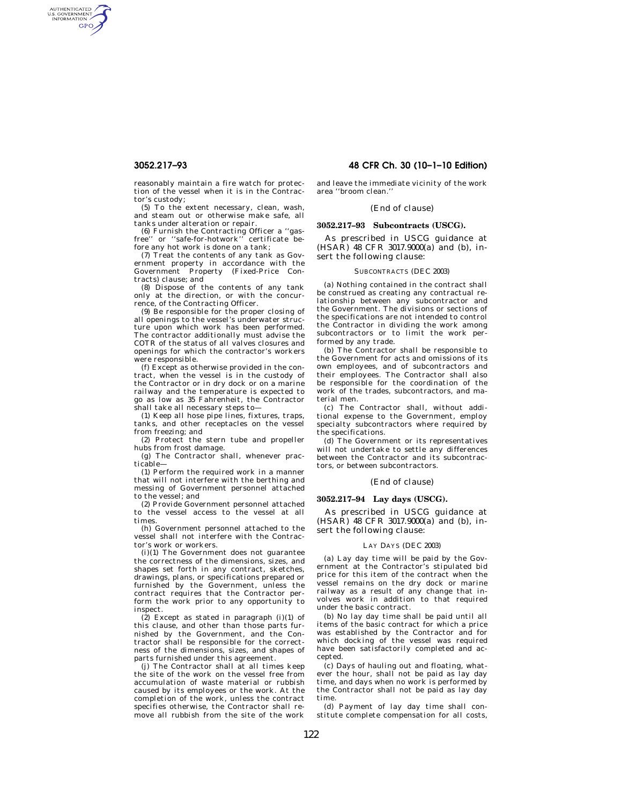AUTHENTICATED<br>U.S. GOVERNMENT<br>INFORMATION **GPO** 

> reasonably maintain a fire watch for protection of the vessel when it is in the Contractor's custody;

(5) To the extent necessary, clean, wash, and steam out or otherwise make safe, all tanks under alteration or repair.

(6) Furnish the Contracting Officer a ''gas-free'' or ''safe-for-hotwork'' certificate before any hot work is done on a tank;

(7) Treat the contents of any tank as Government property in accordance with the Government Property (Fixed-Price Contracts) clause; and

(8) Dispose of the contents of any tank only at the direction, or with the concurrence, of the Contracting Officer.

(9) Be responsible for the proper closing of all openings to the vessel's underwater structure upon which work has been performed. The contractor additionally must advise the COTR of the status of all valves closures and openings for which the contractor's workers were responsible.

(f) Except as otherwise provided in the contract, when the vessel is in the custody of the Contractor or in dry dock or on a marine railway and the temperature is expected to go as low as 35 Fahrenheit, the Contractor shall take all necessary steps to—

(1) Keep all hose pipe lines, fixtures, traps, tanks, and other receptacles on the vessel from freezing; and

(2) Protect the stern tube and propeller hubs from frost damage.

(g) The Contractor shall, whenever practicable—

(1) Perform the required work in a manner that will not interfere with the berthing and messing of Government personnel attached to the vessel; and

(2) Provide Government personnel attached to the vessel access to the vessel at all times.

(h) Government personnel attached to the vessel shall not interfere with the Contractor's work or workers.

(i)(1) The Government does not guarantee the correctness of the dimensions, sizes, and shapes set forth in any contract, sketches, drawings, plans, or specifications prepared or furnished by the Government, unless the contract requires that the Contractor perform the work prior to any opportunity to inspect.

 $(2)$  Except as stated in paragraph  $(i)(1)$  of this clause, and other than those parts furnished by the Government, and the Contractor shall be responsible for the correctness of the dimensions, sizes, and shapes of parts furnished under this agreement.

(j) The Contractor shall at all times keep the site of the work on the vessel free from accumulation of waste material or rubbish caused by its employees or the work. At the completion of the work, unless the contract specifies otherwise, the Contractor shall remove all rubbish from the site of the work

# **3052.217–93 48 CFR Ch. 30 (10–1–10 Edition)**

and leave the immediate vicinity of the work area ''broom clean.''

### (End of clause)

# **3052.217–93 Subcontracts (USCG).**

As prescribed in USCG guidance at  $(HSAR)$  48 CFR 3017.9000(a) and (b), insert the following clause:

#### SUBCONTRACTS (DEC 2003)

(a) Nothing contained in the contract shall be construed as creating any contractual relationship between any subcontractor and the Government. The divisions or sections of the specifications are not intended to control the Contractor in dividing the work among subcontractors or to limit the work performed by any trade.

(b) The Contractor shall be responsible to the Government for acts and omissions of its own employees, and of subcontractors and their employees. The Contractor shall also be responsible for the coordination of the work of the trades, subcontractors, and material men.

(c) The Contractor shall, without additional expense to the Government, employ specialty subcontractors where required by the specifications.

(d) The Government or its representatives will not undertake to settle any differences between the Contractor and its subcontractors, or between subcontractors.

#### (End of clause)

#### **3052.217–94 Lay days (USCG).**

As prescribed in USCG guidance at (HSAR) 48 CFR 3017.9000(a) and (b), insert the following clause:

#### LAY DAYS (DEC 2003)

(a) Lay day time will be paid by the Government at the Contractor's stipulated bid price for this item of the contract when the vessel remains on the dry dock or marine railway as a result of any change that involves work in addition to that required under the basic contract.

(b) No lay day time shall be paid until all items of the basic contract for which a price was established by the Contractor and for which docking of the vessel was required have been satisfactorily completed and accepted.

(c) Days of hauling out and floating, whatever the hour, shall not be paid as lay day time, and days when no work is performed by the Contractor shall not be paid as lay day time.

(d) Payment of lay day time shall constitute complete compensation for all costs,